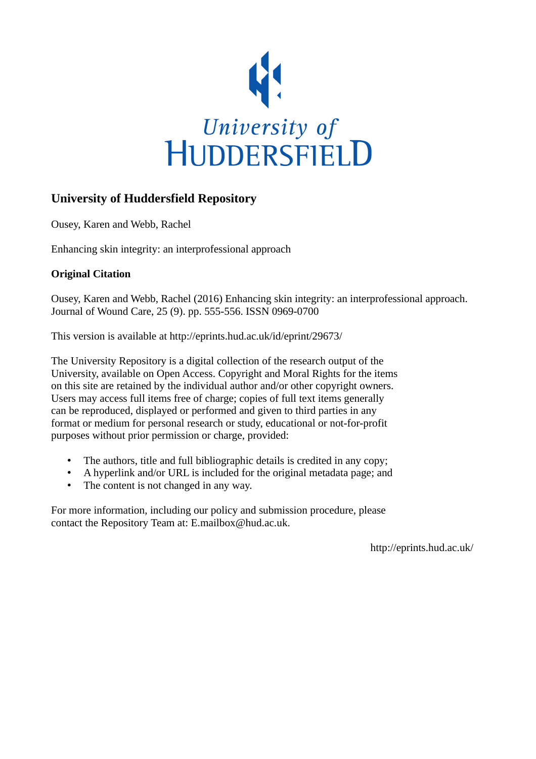

## **University of Huddersfield Repository**

Ousey, Karen and Webb, Rachel

Enhancing skin integrity: an interprofessional approach

## **Original Citation**

Ousey, Karen and Webb, Rachel (2016) Enhancing skin integrity: an interprofessional approach. Journal of Wound Care, 25 (9). pp. 555-556. ISSN 0969-0700

This version is available at http://eprints.hud.ac.uk/id/eprint/29673/

The University Repository is a digital collection of the research output of the University, available on Open Access. Copyright and Moral Rights for the items on this site are retained by the individual author and/or other copyright owners. Users may access full items free of charge; copies of full text items generally can be reproduced, displayed or performed and given to third parties in any format or medium for personal research or study, educational or not-for-profit purposes without prior permission or charge, provided:

- The authors, title and full bibliographic details is credited in any copy;
- A hyperlink and/or URL is included for the original metadata page; and
- The content is not changed in any way.

For more information, including our policy and submission procedure, please contact the Repository Team at: E.mailbox@hud.ac.uk.

http://eprints.hud.ac.uk/